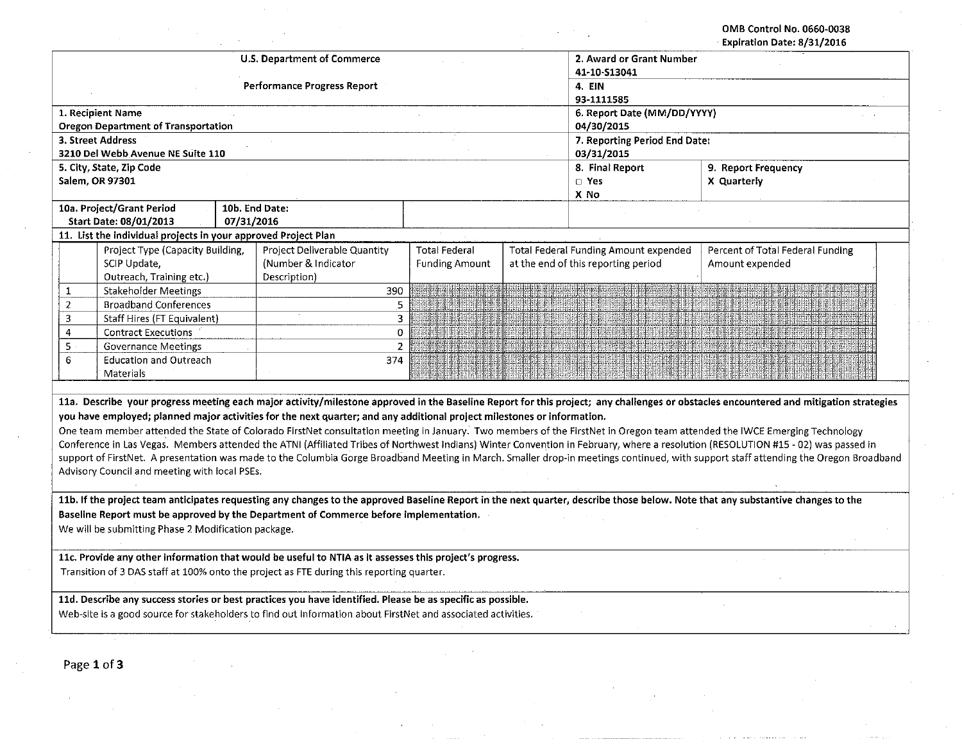OMB Control No. 0660-0038 Expiration Date: 8/31/2016

|                                                                                                                                                                                                                                                                                                                                                                                                                                                                                                                                                                                                                                                                                                                                                                                                                                                                                                                             | <b>U.S. Department of Commerce</b> |                       | 2. Award or Grant Number<br>41-10-S13041 |                                                                                                               |                                  |  |  |  |
|-----------------------------------------------------------------------------------------------------------------------------------------------------------------------------------------------------------------------------------------------------------------------------------------------------------------------------------------------------------------------------------------------------------------------------------------------------------------------------------------------------------------------------------------------------------------------------------------------------------------------------------------------------------------------------------------------------------------------------------------------------------------------------------------------------------------------------------------------------------------------------------------------------------------------------|------------------------------------|-----------------------|------------------------------------------|---------------------------------------------------------------------------------------------------------------|----------------------------------|--|--|--|
|                                                                                                                                                                                                                                                                                                                                                                                                                                                                                                                                                                                                                                                                                                                                                                                                                                                                                                                             | <b>Performance Progress Report</b> |                       | 4. EIN<br>93-1111585                     |                                                                                                               |                                  |  |  |  |
| 1. Recipient Name                                                                                                                                                                                                                                                                                                                                                                                                                                                                                                                                                                                                                                                                                                                                                                                                                                                                                                           |                                    |                       | 6. Report Date (MM/DD/YYYY)              |                                                                                                               |                                  |  |  |  |
| <b>Oregon Department of Transportation</b>                                                                                                                                                                                                                                                                                                                                                                                                                                                                                                                                                                                                                                                                                                                                                                                                                                                                                  |                                    |                       |                                          | 04/30/2015                                                                                                    |                                  |  |  |  |
| 3. Street Address                                                                                                                                                                                                                                                                                                                                                                                                                                                                                                                                                                                                                                                                                                                                                                                                                                                                                                           |                                    |                       |                                          | 7. Reporting Period End Date:                                                                                 |                                  |  |  |  |
| 3210 Del Webb Avenue NE Suite 110                                                                                                                                                                                                                                                                                                                                                                                                                                                                                                                                                                                                                                                                                                                                                                                                                                                                                           |                                    |                       |                                          | 03/31/2015                                                                                                    |                                  |  |  |  |
| 5. City, State, Zip Code                                                                                                                                                                                                                                                                                                                                                                                                                                                                                                                                                                                                                                                                                                                                                                                                                                                                                                    |                                    |                       |                                          | 8. Final Report                                                                                               | 9. Report Frequency              |  |  |  |
| Salem, OR 97301                                                                                                                                                                                                                                                                                                                                                                                                                                                                                                                                                                                                                                                                                                                                                                                                                                                                                                             |                                    |                       |                                          | □ Yes                                                                                                         | X Quarterly                      |  |  |  |
|                                                                                                                                                                                                                                                                                                                                                                                                                                                                                                                                                                                                                                                                                                                                                                                                                                                                                                                             |                                    |                       |                                          | X No                                                                                                          |                                  |  |  |  |
| 10a. Project/Grant Period<br>10b. End Date:                                                                                                                                                                                                                                                                                                                                                                                                                                                                                                                                                                                                                                                                                                                                                                                                                                                                                 |                                    |                       |                                          |                                                                                                               |                                  |  |  |  |
| 07/31/2016<br>Start Date: 08/01/2013                                                                                                                                                                                                                                                                                                                                                                                                                                                                                                                                                                                                                                                                                                                                                                                                                                                                                        |                                    |                       |                                          |                                                                                                               |                                  |  |  |  |
| 11. List the individual projects in your approved Project Plan                                                                                                                                                                                                                                                                                                                                                                                                                                                                                                                                                                                                                                                                                                                                                                                                                                                              |                                    |                       |                                          |                                                                                                               |                                  |  |  |  |
| Project Type (Capacity Building,                                                                                                                                                                                                                                                                                                                                                                                                                                                                                                                                                                                                                                                                                                                                                                                                                                                                                            | Project Deliverable Quantity       | <b>Total Federal</b>  |                                          | Total Federal Funding Amount expended                                                                         | Percent of Total Federal Funding |  |  |  |
| SCIP Update,                                                                                                                                                                                                                                                                                                                                                                                                                                                                                                                                                                                                                                                                                                                                                                                                                                                                                                                | (Number & Indicator                | <b>Funding Amount</b> |                                          | at the end of this reporting period                                                                           | Amount expended                  |  |  |  |
| Outreach, Training etc.)<br>Stakeholder Meetings<br>1                                                                                                                                                                                                                                                                                                                                                                                                                                                                                                                                                                                                                                                                                                                                                                                                                                                                       | Description)<br>390                |                       |                                          |                                                                                                               |                                  |  |  |  |
| $\overline{2}$<br><b>Broadband Conferences</b>                                                                                                                                                                                                                                                                                                                                                                                                                                                                                                                                                                                                                                                                                                                                                                                                                                                                              | 5                                  |                       |                                          |                                                                                                               |                                  |  |  |  |
| 3<br>Staff Hires (FT Equivalent)                                                                                                                                                                                                                                                                                                                                                                                                                                                                                                                                                                                                                                                                                                                                                                                                                                                                                            | 3                                  |                       |                                          | 1989 - 1989 - 1989 - 1989 - 1989 - 1989 - 1989 - 1989 - 1989 - 1989 - 1989 - 1980 - 1980 - 1980 - 1980 - 1980 |                                  |  |  |  |
| $\overline{4}$<br><b>Contract Executions</b>                                                                                                                                                                                                                                                                                                                                                                                                                                                                                                                                                                                                                                                                                                                                                                                                                                                                                | 0                                  |                       |                                          |                                                                                                               |                                  |  |  |  |
| 5<br><b>Governance Meetings</b>                                                                                                                                                                                                                                                                                                                                                                                                                                                                                                                                                                                                                                                                                                                                                                                                                                                                                             | $\overline{2}$                     |                       |                                          |                                                                                                               |                                  |  |  |  |
| $\mathbf 6$<br><b>Education and Outreach</b>                                                                                                                                                                                                                                                                                                                                                                                                                                                                                                                                                                                                                                                                                                                                                                                                                                                                                | 374                                |                       |                                          |                                                                                                               |                                  |  |  |  |
| <b>Materials</b>                                                                                                                                                                                                                                                                                                                                                                                                                                                                                                                                                                                                                                                                                                                                                                                                                                                                                                            |                                    |                       |                                          |                                                                                                               |                                  |  |  |  |
|                                                                                                                                                                                                                                                                                                                                                                                                                                                                                                                                                                                                                                                                                                                                                                                                                                                                                                                             |                                    |                       |                                          |                                                                                                               |                                  |  |  |  |
| 11a. Describe your progress meeting each major activity/milestone approved in the Baseline Report for this project; any challenges or obstacles encountered and mitigation strategies<br>you have employed; planned major activities for the next quarter; and any additional project milestones or information.<br>One team member attended the State of Colorado FirstNet consultation meeting in January. Two members of the FirstNet in Oregon team attended the IWCE Emerging Technology<br>Conference in Las Vegas. Members attended the ATNI (Affiliated Tribes of Northwest Indians) Winter Convention in February, where a resolution (RESOLUTION #15 - 02) was passed in<br>support of FirstNet. A presentation was made to the Columbia Gorge Broadband Meeting in March. Smaller drop-in meetings continued, with support staff attending the Oregon Broadband<br>Advisory Council and meeting with local PSEs. |                                    |                       |                                          |                                                                                                               |                                  |  |  |  |
| 11b. If the project team anticipates requesting any changes to the approved Baseline Report in the next quarter, describe those below. Note that any substantive changes to the<br>Baseline Report must be approved by the Department of Commerce before implementation.<br>We will be submitting Phase 2 Modification package.                                                                                                                                                                                                                                                                                                                                                                                                                                                                                                                                                                                             |                                    |                       |                                          |                                                                                                               |                                  |  |  |  |
| 11c. Provide any other information that would be useful to NTIA as it assesses this project's progress.<br>Transition of 3 DAS staff at 100% onto the project as FTE during this reporting quarter.                                                                                                                                                                                                                                                                                                                                                                                                                                                                                                                                                                                                                                                                                                                         |                                    |                       |                                          |                                                                                                               |                                  |  |  |  |
| 11d. Describe any success stories or best practices you have identified. Please be as specific as possible.<br>Web-site is a good source for stakeholders to find out information about FirstNet and associated activities.                                                                                                                                                                                                                                                                                                                                                                                                                                                                                                                                                                                                                                                                                                 |                                    |                       |                                          |                                                                                                               |                                  |  |  |  |

Page 1 of 3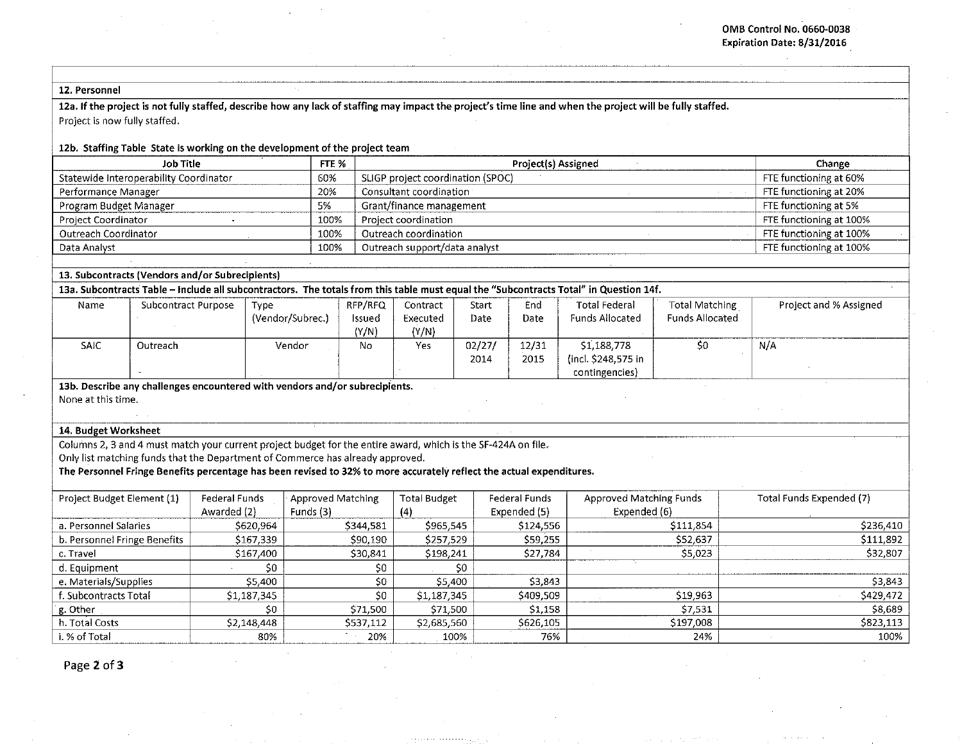.

#### **12. Personnel**

**12a. If the project is not fully staffed, describe how any lack of staffing may impact the project's time line and when the project will be fully staffed.**  Project is now fully staffed.

### **12b. Staffing Table State is working on the development of the project team**

| Job Title                              | FTE % | Project(s) Assigned               | Change                  |
|----------------------------------------|-------|-----------------------------------|-------------------------|
| Statewide Interoperability Coordinator | 60%   | SLIGP project coordination (SPOC) | FTE functioning at 60%  |
| Performance Manager                    | 20%   | Consultant coordination           | FTE functioning at 20%  |
| Program Budget Manager                 | 5%    | Grant/finance management          | FTE functioning at 5%   |
| Project Coordinator                    | 100%  | Project coordination              | FTE functioning at 100% |
| Outreach Coordinator                   | 100%  | Outreach coordination             | FTE functioning at 100% |
| Data Analyst                           | 100%  | Outreach support/data analyst     | FTE functioning at 100% |
|                                        |       |                                   |                         |

## **13. Subcontracts (Vendors and/or Subrecipients)**

#### 13a. Subcontracts Table - Include all subcontractors. The totals from this table must equal the "Subcontracts Total" in Question 14f.

| Name | Subcontract Purpose | Type             | RFP/RFQ | Contract | Start  | End   | <b>Total Federal</b>   | <b>Total Matching</b> | Project and % Assigned |
|------|---------------------|------------------|---------|----------|--------|-------|------------------------|-----------------------|------------------------|
|      |                     | (Vendor/Subrec.) | Issued  | Executed | Date   | Date  | <b>Funds Allocated</b> | Funds Allocated       |                        |
|      |                     |                  | (Y/N)   | (Y/N)    |        |       |                        |                       |                        |
| SAIC | Outreach            | Vendor           | No      | Yes      | 02/27/ | 12/31 | \$1.188.778            |                       | N/A                    |
|      |                     |                  |         |          | 2014   | 2015  | incl. \$248,575 in     |                       |                        |
|      |                     |                  |         |          |        |       | contingencies)         |                       |                        |

**13b. Describe any challenges encountered with vendors and/or subrecipients.** 

None at this time.

### **14. Budget Worksheet**

Columns 2, 3 and 4 must match your current project budget for the entire award, which is the SF-424A on file.

Only list matching funds that the Department of Commerce has already approved.

The Personnel Fringe Benefits percentage has been revised to 32% to more accurately reflect the actual expenditures.

| Project Budget Element (1)   | Federal Funds | Approved Matching | <b>Total Budget</b> | Federal Funds | Approved Matching Funds | Total Funds Expended (7) |
|------------------------------|---------------|-------------------|---------------------|---------------|-------------------------|--------------------------|
|                              | Awarded (2)   | Funds (3)         | 14                  | Expended (5)  | Expended (6)            |                          |
| a. Personnel Salaries        | \$620,964     | \$344,581         | \$965,545           | \$124,556     | \$111,854               | \$236,410                |
| b. Personnel Fringe Benefits | \$167,339     | \$90,190          | \$257,529           | \$59,255      | \$52,637                | \$111,892                |
| c. Travel                    | \$167,400     | S30,841           | \$198,241           | \$27,784      | \$5,023                 | \$32,807                 |
| d. Equipment                 | \$0           | \$0               | \$0                 |               |                         |                          |
| e. Materials/Supplies        | \$5,400       | \$0               | \$5,400             | \$3,843       |                         | \$3,843                  |
| f. Subcontracts Total        | \$1,187,345   | S <sub>0</sub>    | \$1,187,345         | \$409,509     | \$19,963                | S429,472                 |
| g. Other                     | \$O           | \$71,500          | \$71,500            | \$1 158       | \$7,531                 | \$8,689                  |
| h. Total Costs               | \$2,148,448   | \$537,112         | \$2,685,560         | \$626,105     | \$197,008               | \$823,113                |
| i. % of Total                | 80%           | 20%               | 100%                | 76%           | 24%                     | 100%                     |

Page 2 of 3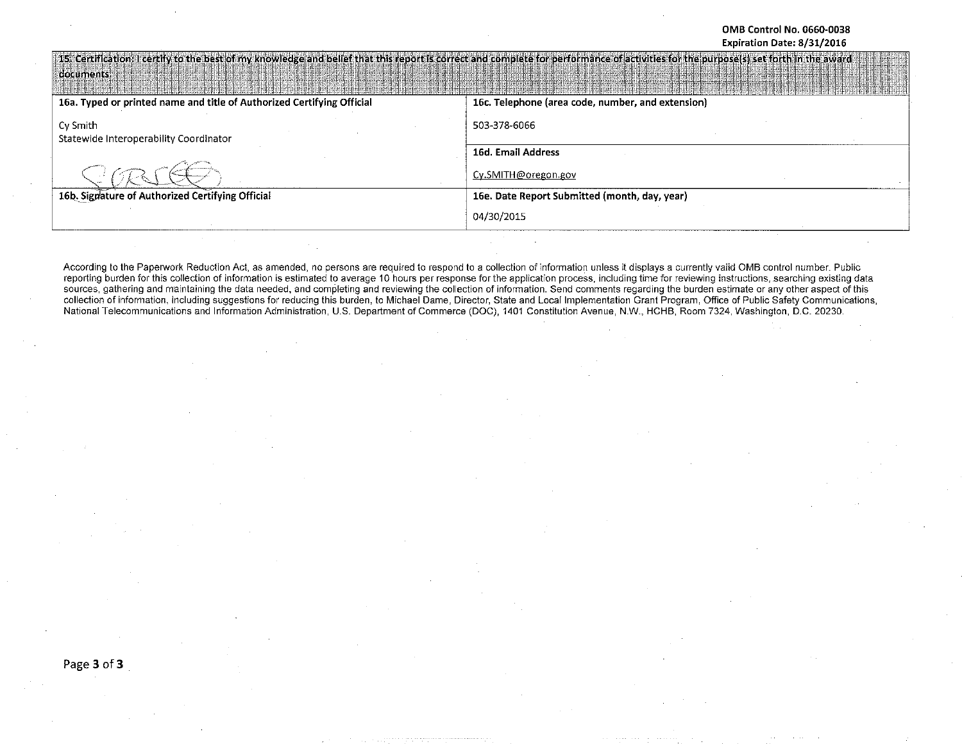#### OMB Control No. 0660-0038 Expiration Date: 8/31/2016

| 15. Certification: I certify to the best of my knowledge and belief that this report is correctand complete for performance of activities fonthe purpose(s) set forth in the award<br><b>documents!</b> |                                                   |
|---------------------------------------------------------------------------------------------------------------------------------------------------------------------------------------------------------|---------------------------------------------------|
| 16a. Typed or printed name and title of Authorized Certifying Official                                                                                                                                  | 16c. Telephone (area code, number, and extension) |
| Cy Smith<br>Statewide Interoperability Coordinator                                                                                                                                                      | 503-378-6066                                      |
|                                                                                                                                                                                                         | 16d. Email Address                                |
|                                                                                                                                                                                                         | Cy.SMITH@oregon.gov                               |
| 16b. Signature of Authorized Certifying Official                                                                                                                                                        | 16e. Date Report Submitted (month, day, year)     |
|                                                                                                                                                                                                         | 04/30/2015                                        |

According to the Paperwork Reduction Act, as amended, no persons are required to respond to a collection of information unless it displays a currently valid OMB control number. Public reporting burden for this collection of information is estimated to average 10 hours per response for the application process, including time for reviewing instructions, searching existing data sources, gathering and maintaining the data needed, and completing and reviewing the collection of information. Send comments regarding the burden estimate or any other aspect of this collection of information, including suggestions for reducing this burden, to Michael Dame, Director, State and Local Implementation Grant Program, Office of Public Safety Communications, National Telecommunications and Information Administration, U.S. Department of Commerce (DOC), 1401 Constitution Avenue, N.W., HCHB, Room 7324, Washington, D.C. 20230.